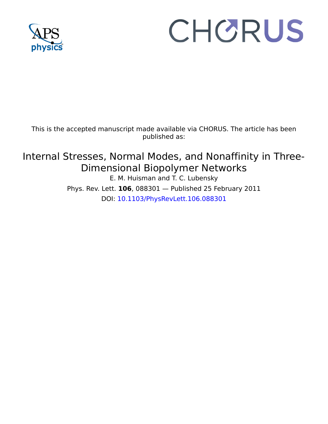

## CHORUS

This is the accepted manuscript made available via CHORUS. The article has been published as:

## Internal Stresses, Normal Modes, and Nonaffinity in Three-Dimensional Biopolymer Networks

E. M. Huisman and T. C. Lubensky Phys. Rev. Lett. **106**, 088301 — Published 25 February 2011 DOI: [10.1103/PhysRevLett.106.088301](http://dx.doi.org/10.1103/PhysRevLett.106.088301)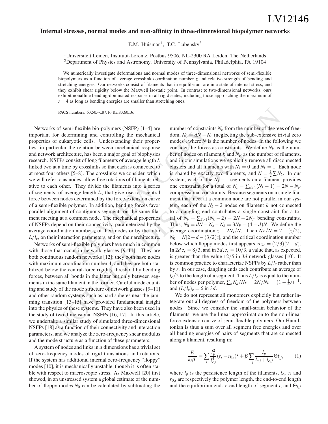## Internal stresses, normal modes and non-affinity in three-dimensional biopolymer networks

E.M. Huisman<sup>1</sup>, T.C. Lubensky<sup>2</sup>

<sup>1</sup>Universiteit Leiden, Instituut-Lorentz, Postbus 9506, NL-2300 RA Leiden, The Netherlands <sup>2</sup>Department of Physics and Astronomy, University of Pennsylvania, Philadelphia, PA 19104

We numerically investigate deformations and normal modes of three-dimensional networks of semi-flexible biopolymers as a function of average crosslink coordination number *z* and relative strength of bending and stretching energies. Our networks consist of filaments that in equilibrium are in a state of internal stress, and they exhibit shear rigidity below the Maxwell isostatic point. In contrast to two-dimensional networks, ours exhibit nonaffine bending-dominated response in all rigid states, including those approaching the maximum of  $z = 4$  as long as bending energies are smaller than stretching ones.

PACS numbers: 63.50.-x,87.16.Ka,83.60.Bc

i-flexible bio-polymers (NSFP) [1–4] are<br>
mumber of constraints<br>
mining and controlling the mechanical<br>
dom,  $N_0 = dN - N_c$  (n<br>
yotic cells. Understanding their proper-<br>
modes), where N is the<br>
ne relation between mechanical Networks of semi-flexible bio-polymers (NSFP) [1–4] are important for determining and controlling the mechanical properties of eukaryotic cells. Understanding their properties, in particular the relation between mechanical response and network architecture, has been a major goal of biophysics research. NSFPs consist of long filaments of average length *L* linked two at a time by crosslinks so that each is connected to at most four others [5–8]. The crosslinks we consider, which we will refer to as nodes, allow free rotations of filaments relative to each other. They divide the filaments into a series of segments, of average length *lc*, that give rise to a central force between nodes determined by the force-extension curve of a semi-flexible polymer. In addition, bending forces favor parallel alignment of contiguous segments on the same filament meeting at a common node. The mechanical properties of NSFPs depend on their connectivity, parameterized by the average coordination number *z* of their nodes or by the ratio  $L/l_c$ , on their interaction parameters, and on their architecture.

Networks of semi-flexible polymers have much in common with those that occur in network glasses [9–11]. They are both continuous random networks [12]; they both have nodes with maximum coordination number 4; and they are both stabilized below the central-force rigidity threshold by bending forces, between all bonds in the latter but only between segments in the same filament in the former. Careful mode counting and study of the mode structure of network glasses [9–11] and other random systems such as hard spheres near the jamming transition [13–15] have provided fundamental insight into the physics of these systems. They have also been used in the study of two dimensional NSFPs [16, 17]. In this article, we undertake a similar study of simulated three-dimensional NSFPs [18] as a function of their connectivity and interaction parameters, and we analyze the zero-frequency shear modulus and the mode structure as a function of these parameters.

A system of nodes and links in *d* dimensions has a trivial set of zero-frequency modes of rigid translations and rotations. If the system has additional internal zero-frequency "floppy" modes [10], it is mechanically unstable, though it is often stable with respect to macroscopic stress. As Maxwell [20] first showed, in an unstressed system a global estimate of the number of floppy modes  $N_0$  can be calculated by subtracting the

PACS numbers 65:50-x,87.16 Ka,83.60.Be<br>
PACS number of scontains  $N_c$  from the number of degrees of service of the method of the method of the method of the method of the method of the method of the method of the method o number of constraints  $N_c$  from the number of degrees of freedom,  $N_0 = dN - N_c$  (neglecting the sub-extensive trivial zero modes), where *N* is the number of nodes. In the following we consider the forces as constraints. We define  $N_k$  as the number of nodes on filament  $k$  and  $N_F$  as the number of filaments, and in our simulations we explicitly remove all disconnected clusters and all filaments with  $N_k = 0$  and  $N_k = 1$ . Each node is shared by exactly two filaments, and  $N = \frac{1}{2} \sum N_k$ . In our system, each of the  $N_k - 1$  segments on a filament provides one constraint for a total of  $N_s = \sum_{k>1} (N_k - 1) = 2N - N_F$ compressional constraints. Because segments on a single filament that meet at a common node are not parallel in our system, each of the  $N_k - 2$  nodes on filament *k* not connected to a dangling end contributes a single constraint for a total of  $N_b = \sum_{k>1} (N_k - 2) = 2N - 2N_F$  bending constraints. Thus,  $N_0 = dN - N_s - N_b = 3N_F - (4 - d)N$ . We define the average coordination  $z \equiv 2N_s/N$ . Then  $N_F/N = 2 - (z/2)$ ,  $N_0 = N[2+d-(3/2)z]$ , and the critical coordination number below which floppy modes first appears is  $z_c = (2/3)(2+d)$ . In 2*d*  $z_c = 8/3$ , and in 3*d*,  $z_c = 10/3$ , a value that, as expected, is greater than the value 12/5 in 3*d* network glasses [10]. It is common practice to characterize NSFPs by *L*/*l<sup>c</sup>* rather than by *z*. In our case, dangling ends each contribute an average of  $l_c/2$  to the length of a segment. Thus  $L/l_c$  is equal to the number of nodes per polymer,  $\sum_{k} N_k / N_F = 2N / N_F = (1 - \frac{1}{4}z)^{-1}$ , and  $(L/l_c)_c = 6$  in 3*d*.

We do not represent all monomers explicitly but rather integrate out all degrees of freedom of the polymers between nodes. Since we consider the small-strain behavior of the filaments, we use the linear approximation to the non-linear force-extension curve of semi-flexible polymers. Our Hamiltonian is thus a sum over all segment free energies and over all bending energies of pairs of segments that are connected along a filament, resulting in:

$$
\frac{E}{k_B T} = \sum_{i} \frac{l_p^2}{l_{c,i}^4} (r_i - r_{0,i})^2 + \beta \sum_{i,j} \frac{l_p}{l_{c,i} + l_{c,j}} \Theta_{i,j}^2, \qquad (1)
$$

where  $l_p$  is the persistence length of the filaments,  $l_{c_i}$ ,  $r_i$  and  $r_{0,i}$  are respectively the polymer length, the end-to-end length and the equilibrium end-to-end length of segment *i*, and  $\Theta_{i,j}$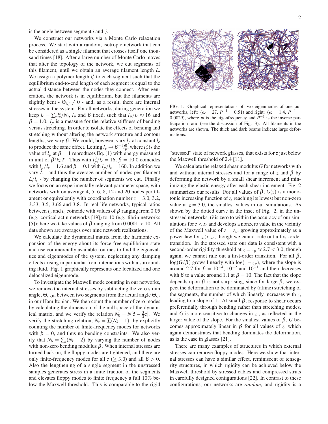is the angle between segment *i* and *j*.

We construct our networks via a Monte Carlo relaxation process. We start with a random, isotropic network that can be considered as a single filament that crosses itself one thousand times [18]. After a large number of Monte Carlo moves that alter the topology of the network, we cut segments of this filament, until we obtain an average filament length *L*. We assign a polymer length  $l_c^s$  to each segment such that the equilibrium end-to-end length of each segment is equal to the actual distance between the nodes they connect. After generation, the network is in equilibrium, but the filaments are slightly bent -  $\Theta_{i,j} \neq 0$  - and, as a result, there are internal stresses in the system. For all networks, during generation we  $\text{keep } l_c = \sum_s l_c^s / N_s$ , *l<sub>p</sub>* and  $\beta$  fixed, such that  $l_p / l_c \approx 16$  and  $\beta = 1.0$ . *l<sub>p</sub>* is a measure for the relative stiffness of bending versus stretching. In order to isolate the effects of bending and stretching without altering the network structure and contour lengths, we vary β. We could, however, vary  $l_p$  at constant  $l_c$ to produce the same effect. Letting  $l_p \rightarrow \beta^{-1} l_p^0$ , where  $l_p^0$  is the value of  $l_p$  at  $\beta = 1$  reproduces Eq. (1) with energy measured in unit of  $\beta^2 k_B T$ . Thus with  $l_p^0/l_c = 16$ ,  $\beta = 10.0$  coincides with  $l_p/l_c = 1.6$  and  $\beta = 0.1$  with  $l_p/l_c = 160$ . In addition we vary *L* - and thus the average number of nodes per filament  $L/l_c$  - by changing the number of segments we cut. Finally we focus on an experimentally relevant parameter space, with networks with on average 4, 5, 6, 8, 12 and 20 nodes per filament or equivalently with coordination number  $z = 3.0, 3.2,$ 3.33, 3.5, 3.66 and 3.8. In real-life networks, typical ratios between  $l_p$  and  $l_c$  coincide with values of β ranging from 0.05 (e.g. cortical actin networks [19]) to 10 (e.g. fibrin networks [5]); here we take values of  $\beta$  ranging from 0.0001 to 10. All data shown are averages over nine network realizations.

We calculate the dynamical matrix from the harmonic expansion of the energy about its force-free equilibrium state and use commercially available routines to find the eigenvalues and eigenmodes of the system, neglecting any damping effects arising in particular from interactions with a surrounding fluid. Fig. 1 graphically represents one localized and one delocalized eigenmode.

To investigate the Maxwell mode counting in our networks, we remove the internal stresses by subtracting the zero strain angle,  $\Theta_{i,i,0}$ , between two segments from the actual angle  $\Theta_{i,j}$ in our Hamiltonian. We then count the number of zero modes by calculating the dimension of the null space of the dynamical matrix, and we verify the relation  $N_0 = N[5 - \frac{3}{2}z]$ . We verify the stretching relation,  $N_s = \sum (N_k - 1)$ , by explicitly counting the number of finite-frequency modes for networks with  $\beta = 0$ , and thus no bending constraints. We also verify that  $N_b = \sum_k (N_k - 2)$  by varying the number of nodes with non-zero bending modulus  $\beta$ . When internal stresses are turned back on, the floppy modes are tightened, and there are only finite-frequency modes for all  $z \geq 3.0$ ) and all  $\beta > 0$ . Also the lengthening of a single segment in the unstressed samples generates stress in a finite fraction of the segments and elevates floppy modes to finite frequency a full 10% below the Maxwell threshold. This is comparable to the rigid



FIG. 1: Graphical representations of two eigenmodes of one our networks, left: ( $\omega = 27$ ,  $P^{-1} = 0.51$ ) and right: ( $\omega = 1.4$ ,  $P^{-1} =$ 0.0029), where  $\omega$  is the eigenfrequency and  $\overline{P}^{-1}$  is the inverse participation ratio (see the discussion of Fig. 3). All filaments in the networks are shown. The thick and dark beams indicate large deformations.

"stressed" state of network glasses, that exists for *z* just below the Maxwell threshold of 2.4 [11].

We calculate the relaxed shear modulus *G* for networks with and without internal stresses and for a range of  $\zeta$  and  $\beta$  by deforming the network by a small shear increment and minimizing the elastic energy after each shear increment. Fig. 2 summarizes our results. For all values of β, *G*(*z*) is a monotonic increasing function of *z*, reaching its lowest but non-zero value at  $z = 3.0$ , the smallest values in our simulations. As shown by the dotted curve in the inset of Fig. 2, in the unstressed networks, *G* is zero to within the accuracy of our simulations for  $z < z_c$  and develops a nonzero value in the vicinity of the Maxwell value of  $z = z_c$ , growing approximately as a power law for  $z > z_c$ , though we cannot rule out a first-order transition. In the stressed state our data is consistent with a second-order rigidity threshold at  $z = z_p \approx 2.7 < 3.0$ , though again, we cannot rule out a first-order transition. For all  $\beta$ , log(*G*/β) grows linearly with log(*z*− *zp*), where the slope is around 2.7 for  $\beta = 10^{-4}$ ,  $10^{-2}$  and  $10^{-1}$  and then decreases with  $\beta$  to a value around 1.1 at  $\beta = 10$ . The fact that the slope depends upon  $\beta$  is not surprising, since for large  $\beta$ , we expect the deformation to be dominated by (affine) stretching of the segments, the number of which linearly increases with *z*, leading to a slope of 1. At small  $\beta$ , response to shear occurs preferentially through bending rather than stretching modes, and *G* is more sensitive to changes in *z* , as reflected in the larger value of the slope. For the smallest values of β, *G* becomes approximately linear in β for all values of *z*, which again demonstrates that bending dominates the deformation, as is the case in glasses [21].

There are many examples of structures in which external stresses can remove floppy modes. Here we show that internal stresses can have a similar effect, reminiscent of tensegrity structures, in which rigidity can be achieved below the Maxwell threshold by stressed cables and compressed struts in carefully designed configurations [22]. In contrast to these configurations, our networks are *random*, and rigidity is a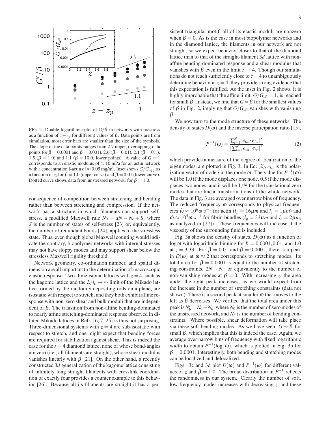

FIG. 2: Double logarithmic plot of  $G/\beta$  in networks with prestress as a function of  $z - z_p$  for different values of  $β$ . Data points are from simulation, most error bars are smaller than the size of the symbols. The slope of the data points ranges from 2.7 upper, overlapping data points for  $β = 0.0001$  and  $β = 0.001$ ), 2.6 ( $β = 0.01$ ), 2.1 ( $β = 0.1$ ), 1.5 (β = 1.0) and 1.1 (β = 10.0, lower points). A value of  $G = 1$ corresponds to an elastic modulus of  $\approx 10$  mPa for an actin network with a concentration f-actin of  $\approx 0.05$  mg/ml. Inset shows  $G/G_{aff}$  as a function of *z*, for  $\beta = 1.0$  (upper curve) and  $\beta = 0.01$  (lower curve). Dotted curve shows data from unstressed network, for  $\beta = 1.0$ .

consequence of competition between stretching and bending rather than between stretching and compression. If the network has a structure in which filaments can support selfstress, a modified Maxwell rule  $N_0 = dN - N_c + S$ , where *S* is the number of states of self-stress [23] or, equivalently, the number of redundant bonds [24], applies to the stressless state. Thus, even though global Maxwell counting would indicate the contrary, biopolymer networks with internal stresses may not have floppy modes and may support shear below the stressless Maxwell rigidity threshold.

Network geometry, co-ordination number, and spatial dimension are all important to the determination of macroscopic elastic response. Two-dimensional lattices with  $z = 4$ , such as the kagome lattice and the  $L/l_c \rightarrow \infty$  limit of the Mikado lattice formed by the randomly depositing rods on a plane, are isostatic with respect to stretch, and they both exhibit affine response with non-zero shear and bulk moduli that are independent of β. The transition from non-affine bending-dominated to nearly affine stretching-dominated response observed in diluted Mikado lattices in Refs. [6, 7, 25] is thus not surprising. Three-dimensional systems with  $z = 4$  are sub-isostatic with respect to stretch, and one might expect that bending forces are required for stabilization against shear. This is indeed the case for the  $z = 4$  diamond lattice, none of whose bond-angles are zero (i.e., all filaments are straight), whose shear modulus vanishes linearly with  $β$  [21]. On the other hand, a recently constructed 3*d* generalization of the kagome lattice consisting of infinitely long straight filaments with crosslink coordination of exactly four provides a counter example to this behavior [26]. Because all its filaments are straight it has a per-

sistent triangular motif, all of its elastic moduli are nonzero when  $\beta = 0$ . As is the case in most biopolymer networks and in the diamond lattice, the filaments in our network are not straight, so we expect behavior closer to that of the diamond lattice than to that of the straight-filament 3*d* lattice with nonaffine bending dominated response and a shear modulus that vanishes with  $\beta$  even in the limit  $z \rightarrow 4$ . Though our simulations do not reach sufficiently close to  $z = 4$  to unambiguously determine behavior at  $z = 4$ , they provide strong evidence that this expectation is fulfilled. As the inset in Fig. 2 shows, it is highly improbable that the affine limit,  $G/G_{\text{aff}} = 1$ , is reached for small β. Instead, we find that *G* ∝ β for the smallest values

We now turn to the mode structure of these networks. The density of states  $D(\omega)$  and the inverse participation ratio [15],

of β in Fig. 2, implying that  $G/G<sub>aff</sub>$  vanishes with vanishing

 $\beta$ .

$$
P^{-1}(\omega) = \frac{\sum_{i=1}^{N} |e_{i\omega} \cdot e_{i\omega}|^2}{|\sum_{i=1}^{N} e_{i\omega} \cdot e_{i\omega}|^2},
$$
(2)

which provides a measure of the degree of localization of the eigenmodes, are plotted in Fig. 3. In Eq.  $(2)$ ,  $e_{i_{\omega}}$  is the polarization vector of node *i* in the mode  $\omega$ . The value for  $P^{-1}(\omega)$ will be 1.0 if the mode displaces one node, 0.5 if the mode displaces two nodes, and it will be 1/*N* for the translational zero modes that are linear transformations of the whole network. The data in Fig. 3 are averaged over narrow bins of frequency. The reduced frequency  $\omega$  corresponds to physical frequencies  $\tilde{\omega} \approx 10^6 \omega s^{-1}$  for actin (*l<sub>p</sub>* = 16 $\mu$ *m* and *l<sub>c</sub>* = 1 $\mu$ *m*) and  $\omega \approx 10^5 \omega$  s<sup>-1</sup> for fibrin bundles (*l<sub>p</sub>* = 33 $\mu$ *m* and *l<sub>c</sub>* = 2 $\mu$ *m*, as analyzed in [27]). These frequencies will increase if the viscosity of the surrounding fluid is included.

Fig. 3a shows the density of states,  $D(\omega)$  as a function of log  $\omega$  with logarithmic binning for  $\beta = 0.0001, 0.01$ , and 1.0 at  $z = 3.33$ . For  $\beta = 0.01$  and  $\beta = 0.0001$ , there is a peak in  $D(\omega)$  at  $\omega \approx 2$  that corresponds to stretching modes. Its total area for  $\beta = 0.0001$  is equal to the number of stretching constraints,  $2N - N_F$  or equivalently to the number of non-vanishing modes at  $\beta = 0$ . With increasing *z*, the area under the right peak increases, as we would expect from the increase in the number of stretching constraints (data not shown). There is a second peak at smaller  $\omega$  that moves to the left as  $\beta$  decreases. We verified that the total area under this peak is  $N_b' = N_0 + N_b$ , where  $N_0$  is the number of zero modes of the unstressed network, and  $N_b$  is the number of bending constraints. Where possible, shear deformation will take place via these soft bending modes. As we have seen,  $G \sim \beta$  for small  $\beta$ , which implies that this is indeed the case. Again, we average over narrow bins of frequency with fixed logarithmic width to obtain  $P^{-1}(\log \omega)$ , which is plotted in Fig. 3b for  $\beta = 0.0001$ . Interestingly, both bending and stretching modes can be localized and delocalized.

Figs. 3c and 3d plot  $D(\omega)$  and  $P^{-1}(\omega)$  for different values of *z* and  $\beta = 1.0$ . The broad distribution in  $P^{-1}$  reflects the randomness in our system. Clearly the number of soft, low-frequency modes increases with decreasing *z*, and these